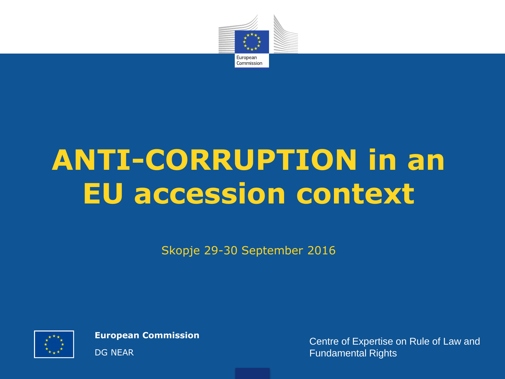

# **ANTI-CORRUPTION in an EU accession context**

Skopje 29-30 September 2016



**European Commission**

DG NEAR

Centre of Expertise on Rule of Law and Fundamental Rights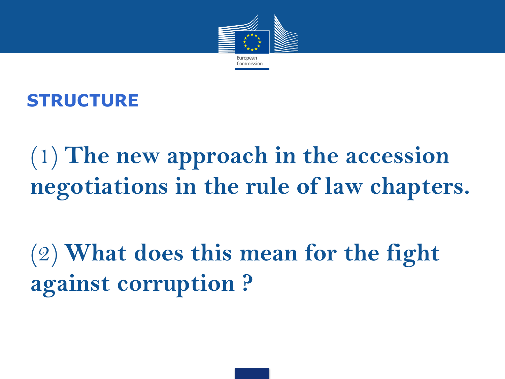

**STRUCTURE**

(1) **The new approach in the accession negotiations in the rule of law chapters.** 

(2) **What does this mean for the fight against corruption ?**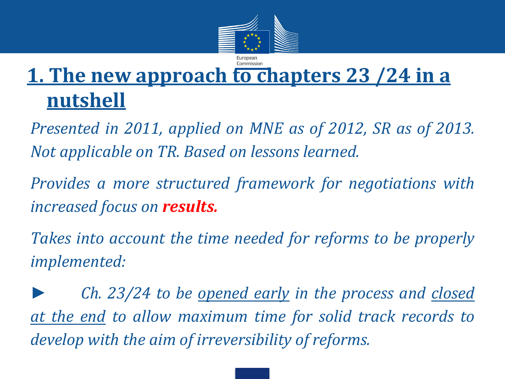

## **1. The new approach to chapters 23 /24 in a nutshell**

*Presented in 2011, applied on MNE as of 2012, SR as of 2013. Not applicable on TR. Based on lessons learned.*

*Provides a more structured framework for negotiations with increased focus on results.*

*Takes into account the time needed for reforms to be properly implemented:*

*► Ch. 23/24 to be opened early in the process and closed at the end to allow maximum time for solid track records to develop with the aim of irreversibility of reforms.*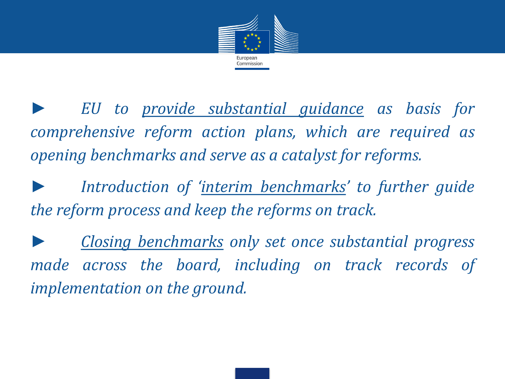

*► EU to provide substantial guidance as basis for comprehensive reform action plans, which are required as opening benchmarks and serve as a catalyst for reforms.*

*► Introduction of 'interim benchmarks' to further guide the reform process and keep the reforms on track.*

*► Closing benchmarks only set once substantial progress made across the board, including on track records of implementation on the ground.*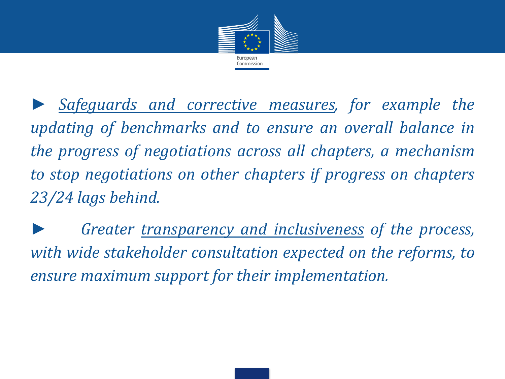

*► Safeguards and corrective measures, for example the updating of benchmarks and to ensure an overall balance in the progress of negotiations across all chapters, a mechanism to stop negotiations on other chapters if progress on chapters 23/24 lags behind.*

*► Greater transparency and inclusiveness of the process, with wide stakeholder consultation expected on the reforms, to ensure maximum support for their implementation.*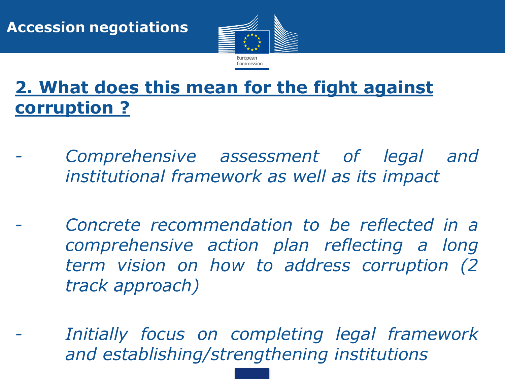

### **2. What does this mean for the fight against corruption ?**

- *- Comprehensive assessment of legal and institutional framework as well as its impact*
- *- Concrete recommendation to be reflected in a comprehensive action plan reflecting a long term vision on how to address corruption (2 track approach)*
- *- Initially focus on completing legal framework and establishing/strengthening institutions*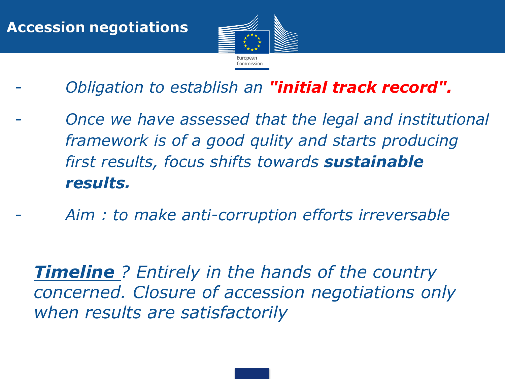

- *- Obligation to establish an "initial track record".*
- *- Once we have assessed that the legal and institutional framework is of a good qulity and starts producing first results, focus shifts towards sustainable results.*
- *- Aim : to make anti-corruption efforts irreversable*

• *Timeline ? Entirely in the hands of the country concerned. Closure of accession negotiations only when results are satisfactorily*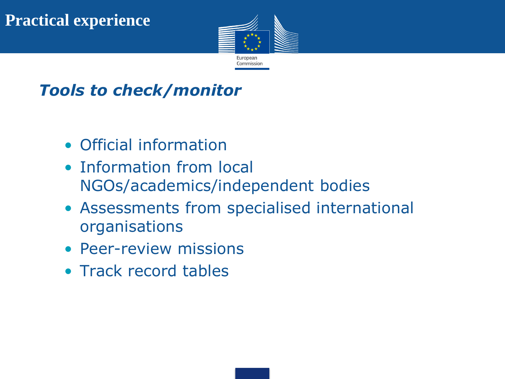

#### *Tools to check/monitor*

- Official information
- Information from local NGOs/academics/independent bodies
- Assessments from specialised international organisations
- Peer-review missions
- Track record tables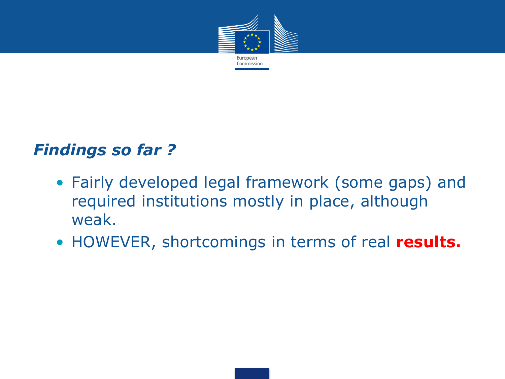

#### *Findings so far ?*

- Fairly developed legal framework (some gaps) and required institutions mostly in place, although weak.
- HOWEVER, shortcomings in terms of real **results.**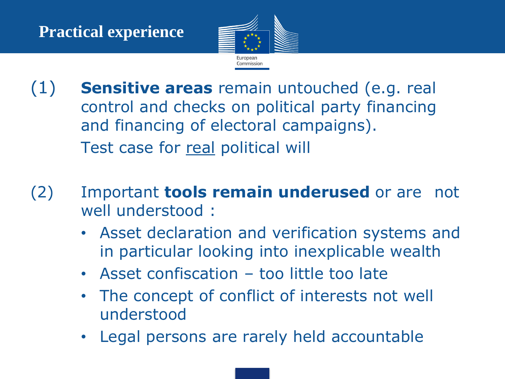

- (1) **Sensitive areas** remain untouched (e.g. real control and checks on political party financing and financing of electoral campaigns). Test case for real political will
- (2) Important **tools remain underused** or are not well understood :
	- Asset declaration and verification systems and in particular looking into inexplicable wealth
	- Asset confiscation too little too late
	- The concept of conflict of interests not well understood
	- Legal persons are rarely held accountable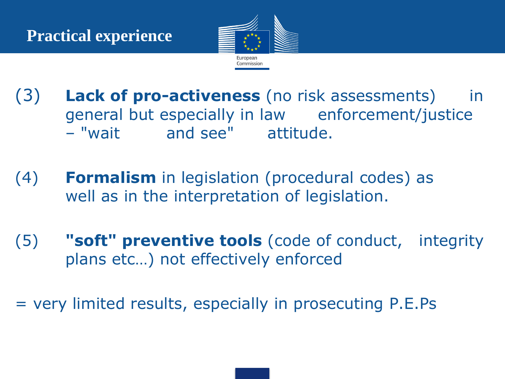

- (3) **Lack of pro-activeness** (no risk assessments) in general but especially in law enforcement/justice – "wait and see" attitude.
- (4) **Formalism** in legislation (procedural codes) as well as in the interpretation of legislation.
- (5) **"soft" preventive tools** (code of conduct, integrity plans etc…) not effectively enforced
- = very limited results, especially in prosecuting P.E.Ps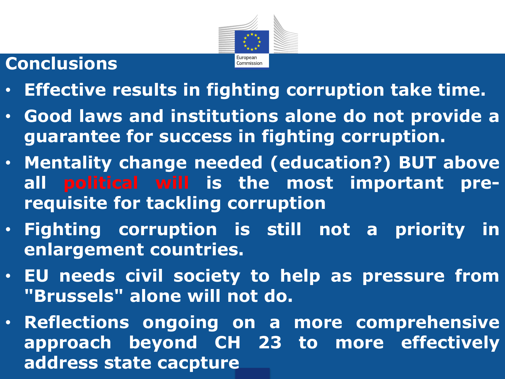

## **Conclusions**

- **Effective results in fighting corruption take time.**
- **Good laws and institutions alone do not provide a guarantee for success in fighting corruption.**
- **Mentality change needed (education?) BUT above all political will is the most important prerequisite for tackling corruption**
- **Fighting corruption is still not a priority in enlargement countries.**
- **EU needs civil society to help as pressure from "Brussels" alone will not do.**
- **Reflections ongoing on a more comprehensive approach beyond CH 23 to more effectively address state cacpture**